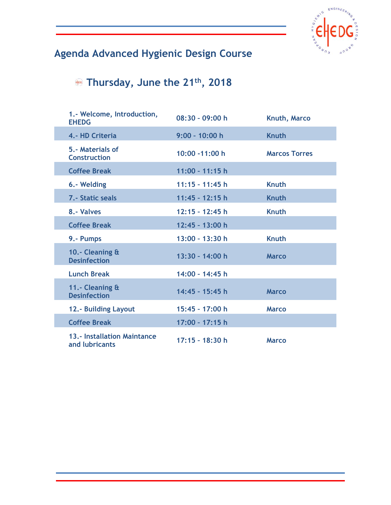

## **Agenda Advanced Hygienic Design Course**

## **Thursday, June the 21th, 2018**

I

| 1.- Welcome, Introduction,<br><b>EHEDG</b>           | $08:30 - 09:00 h$ | Knuth, Marco         |
|------------------------------------------------------|-------------------|----------------------|
| 4.- HD Criteria                                      | $9:00 - 10:00 h$  | <b>Knuth</b>         |
| 5.- Materials of<br><b>Construction</b>              | $10:00 - 11:00 h$ | <b>Marcos Torres</b> |
| <b>Coffee Break</b>                                  | $11:00 - 11:15$ h |                      |
| 6.- Welding                                          | $11:15 - 11:45 h$ | <b>Knuth</b>         |
| 7.- Static seals                                     | $11:45 - 12:15 h$ | <b>Knuth</b>         |
| 8.- Valves                                           | $12:15 - 12:45$ h | <b>Knuth</b>         |
| <b>Coffee Break</b>                                  | 12:45 - 13:00 h   |                      |
| 9.- Pumps                                            | 13:00 - 13:30 h   | <b>Knuth</b>         |
| 10.- Cleaning &<br><b>Desinfection</b>               | 13:30 - 14:00 h   | <b>Marco</b>         |
| <b>Lunch Break</b>                                   | 14:00 - 14:45 h   |                      |
| 11.- Cleaning &<br><b>Desinfection</b>               | 14:45 - 15:45 h   | <b>Marco</b>         |
| <b>12.- Building Layout</b>                          | 15:45 - 17:00 h   | <b>Marco</b>         |
| <b>Coffee Break</b>                                  | 17:00 - 17:15 h   |                      |
| <b>13.- Installation Maintance</b><br>and lubricants | $17:15 - 18:30$ h | <b>Marco</b>         |